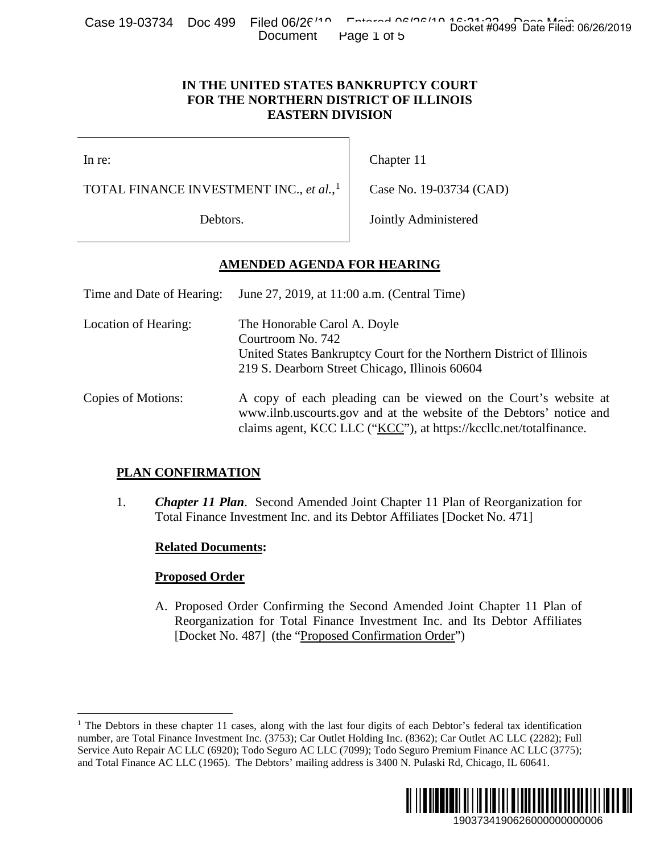Case 19-03734 Doc 499 Filed 06/26/10 Entered 06/26/10 Docket #0499 Date Filed: 06/26/2019 Document Page 1 of 5

### **IN THE UNITED STATES BANKRUPTCY COURT FOR THE NORTHERN DISTRICT OF ILLINOIS EASTERN DIVISION**

# **AMENDED AGENDA FOR HEARING**

| ANTICATE JEDO<br><b>DUC 433</b>                                                                         | $\overline{1}$ liigu vulkt<br>Document                                                                                                                                                                       | Page 1 of 5                                                                                                            | Docket #0499 Date Filed: 06/26/2019                                                                                                                                                                                                                                                                                                                |  |
|---------------------------------------------------------------------------------------------------------|--------------------------------------------------------------------------------------------------------------------------------------------------------------------------------------------------------------|------------------------------------------------------------------------------------------------------------------------|----------------------------------------------------------------------------------------------------------------------------------------------------------------------------------------------------------------------------------------------------------------------------------------------------------------------------------------------------|--|
|                                                                                                         | IN THE UNITED STATES BANKRUPTCY COURT<br>FOR THE NORTHERN DISTRICT OF ILLINOIS<br><b>EASTERN DIVISION</b>                                                                                                    |                                                                                                                        |                                                                                                                                                                                                                                                                                                                                                    |  |
| In re:                                                                                                  |                                                                                                                                                                                                              | Chapter 11                                                                                                             |                                                                                                                                                                                                                                                                                                                                                    |  |
| TOTAL FINANCE INVESTMENT INC., et al., <sup>1</sup>                                                     |                                                                                                                                                                                                              | Case No. 19-03734 (CAD)                                                                                                |                                                                                                                                                                                                                                                                                                                                                    |  |
| Debtors.                                                                                                |                                                                                                                                                                                                              | Jointly Administered                                                                                                   |                                                                                                                                                                                                                                                                                                                                                    |  |
|                                                                                                         | <b>AMENDED AGENDA FOR HEARING</b>                                                                                                                                                                            |                                                                                                                        |                                                                                                                                                                                                                                                                                                                                                    |  |
| June 27, 2019, at 11:00 a.m. (Central Time)<br>Time and Date of Hearing:                                |                                                                                                                                                                                                              |                                                                                                                        |                                                                                                                                                                                                                                                                                                                                                    |  |
| Location of Hearing:<br>The Honorable Carol A. Doyle<br>Courtroom No. 742                               |                                                                                                                                                                                                              | United States Bankruptcy Court for the Northern District of Illinois<br>219 S. Dearborn Street Chicago, Illinois 60604 |                                                                                                                                                                                                                                                                                                                                                    |  |
| Copies of Motions:                                                                                      | A copy of each pleading can be viewed on the Court's website at<br>www.ilnb.uscourts.gov and at the website of the Debtors' notice and<br>claims agent, KCC LLC ("KCC"), at https://kccllc.net/totalfinance. |                                                                                                                        |                                                                                                                                                                                                                                                                                                                                                    |  |
| <b>PLAN CONFIRMATION</b>                                                                                |                                                                                                                                                                                                              |                                                                                                                        |                                                                                                                                                                                                                                                                                                                                                    |  |
| 1.                                                                                                      | Total Finance Investment Inc. and its Debtor Affiliates [Docket No. 471]                                                                                                                                     |                                                                                                                        | <b>Chapter 11 Plan.</b> Second Amended Joint Chapter 11 Plan of Reorganization for                                                                                                                                                                                                                                                                 |  |
| <b>Related Documents:</b>                                                                               |                                                                                                                                                                                                              |                                                                                                                        |                                                                                                                                                                                                                                                                                                                                                    |  |
| <b>Proposed Order</b>                                                                                   |                                                                                                                                                                                                              |                                                                                                                        |                                                                                                                                                                                                                                                                                                                                                    |  |
|                                                                                                         | [Docket No. 487] (the "Proposed Confirmation Order")                                                                                                                                                         |                                                                                                                        | A. Proposed Order Confirming the Second Amended Joint Chapter 11 Plan of<br>Reorganization for Total Finance Investment Inc. and Its Debtor Affiliates                                                                                                                                                                                             |  |
| and Total Finance AC LLC (1965). The Debtors' mailing address is 3400 N. Pulaski Rd, Chicago, IL 60641. |                                                                                                                                                                                                              |                                                                                                                        | The Debtors in these chapter 11 cases, along with the last four digits of each Debtor's federal tax identification<br>uumber, are Total Finance Investment Inc. (3753); Car Outlet Holding Inc. (8362); Car Outlet AC LLC (2282); Full<br>Service Auto Repair AC LLC (6920); Todo Seguro AC LLC (7099); Todo Seguro Premium Finance AC LLC (3775); |  |
|                                                                                                         |                                                                                                                                                                                                              |                                                                                                                        | IIII<br>1903734190626000000000006                                                                                                                                                                                                                                                                                                                  |  |

## **PLAN CONFIRMATION**

## **Related Documents:**

## **Proposed Order**

<span id="page-0-0"></span><sup>&</sup>lt;sup>1</sup> The Debtors in these chapter 11 cases, along with the last four digits of each Debtor's federal tax identification number, are Total Finance Investment Inc. (3753); Car Outlet Holding Inc. (8362); Car Outlet AC LLC (2282); Full Service Auto Repair AC LLC (6920); Todo Seguro AC LLC (7099); Todo Seguro Premium Finance AC LLC (3775); and Total Finance AC LLC (1965). The Debtors' mailing address is 3400 N. Pulaski Rd, Chicago, IL 60641.

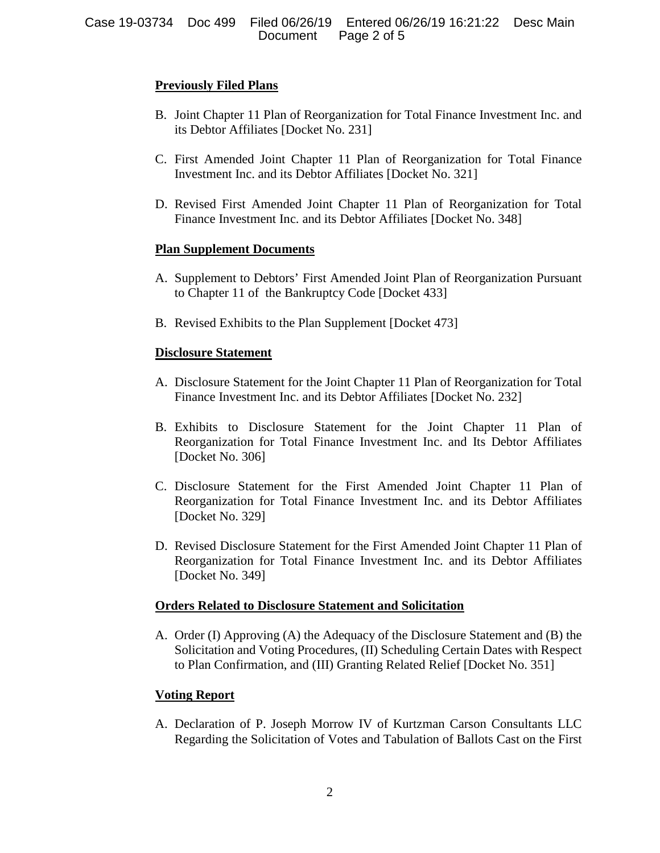## **Previously Filed Plans**

- B. Joint Chapter 11 Plan of Reorganization for Total Finance Investment Inc. and its Debtor Affiliates [Docket No. 231]
- C. First Amended Joint Chapter 11 Plan of Reorganization for Total Finance Investment Inc. and its Debtor Affiliates [Docket No. 321]
- D. Revised First Amended Joint Chapter 11 Plan of Reorganization for Total Finance Investment Inc. and its Debtor Affiliates [Docket No. 348]

## **Plan Supplement Documents**

- A. Supplement to Debtors' First Amended Joint Plan of Reorganization Pursuant to Chapter 11 of the Bankruptcy Code [Docket 433]
- B. Revised Exhibits to the Plan Supplement [Docket 473]

## **Disclosure Statement**

- A. Disclosure Statement for the Joint Chapter 11 Plan of Reorganization for Total Finance Investment Inc. and its Debtor Affiliates [Docket No. 232]
- B. Exhibits to Disclosure Statement for the Joint Chapter 11 Plan of Reorganization for Total Finance Investment Inc. and Its Debtor Affiliates [Docket No. 306]
- C. Disclosure Statement for the First Amended Joint Chapter 11 Plan of Reorganization for Total Finance Investment Inc. and its Debtor Affiliates [Docket No. 329]
- D. Revised Disclosure Statement for the First Amended Joint Chapter 11 Plan of Reorganization for Total Finance Investment Inc. and its Debtor Affiliates [Docket No. 349]

#### **Orders Related to Disclosure Statement and Solicitation**

A. Order (I) Approving (A) the Adequacy of the Disclosure Statement and (B) the Solicitation and Voting Procedures, (II) Scheduling Certain Dates with Respect to Plan Confirmation, and (III) Granting Related Relief [Docket No. 351]

## **Voting Report**

A. Declaration of P. Joseph Morrow IV of Kurtzman Carson Consultants LLC Regarding the Solicitation of Votes and Tabulation of Ballots Cast on the First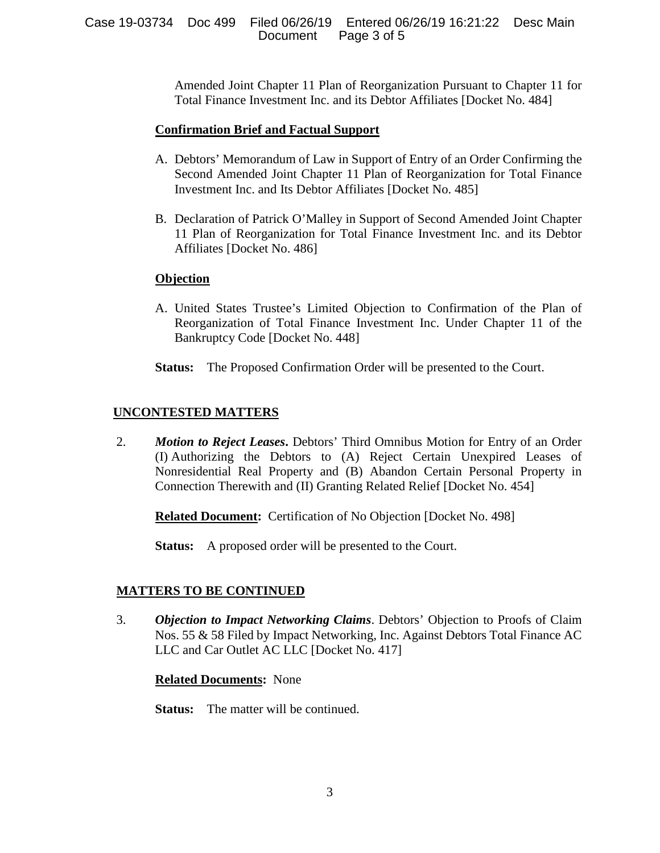Amended Joint Chapter 11 Plan of Reorganization Pursuant to Chapter 11 for Total Finance Investment Inc. and its Debtor Affiliates [Docket No. 484]

### **Confirmation Brief and Factual Support**

- A. Debtors' Memorandum of Law in Support of Entry of an Order Confirming the Second Amended Joint Chapter 11 Plan of Reorganization for Total Finance Investment Inc. and Its Debtor Affiliates [Docket No. 485]
- B. Declaration of Patrick O'Malley in Support of Second Amended Joint Chapter 11 Plan of Reorganization for Total Finance Investment Inc. and its Debtor Affiliates [Docket No. 486]

### **Objection**

- A. United States Trustee's Limited Objection to Confirmation of the Plan of Reorganization of Total Finance Investment Inc. Under Chapter 11 of the Bankruptcy Code [Docket No. 448]
- **Status:** The Proposed Confirmation Order will be presented to the Court.

## **UNCONTESTED MATTERS**

2. *Motion to Reject Leases***.** Debtors' Third Omnibus Motion for Entry of an Order (I) Authorizing the Debtors to (A) Reject Certain Unexpired Leases of Nonresidential Real Property and (B) Abandon Certain Personal Property in Connection Therewith and (II) Granting Related Relief [Docket No. 454]

**Related Document:** Certification of No Objection [Docket No. 498]

**Status:** A proposed order will be presented to the Court.

## **MATTERS TO BE CONTINUED**

3. *Objection to Impact Networking Claims*. Debtors' Objection to Proofs of Claim Nos. 55 & 58 Filed by Impact Networking, Inc. Against Debtors Total Finance AC LLC and Car Outlet AC LLC [Docket No. 417]

#### **Related Documents:** None

**Status:** The matter will be continued.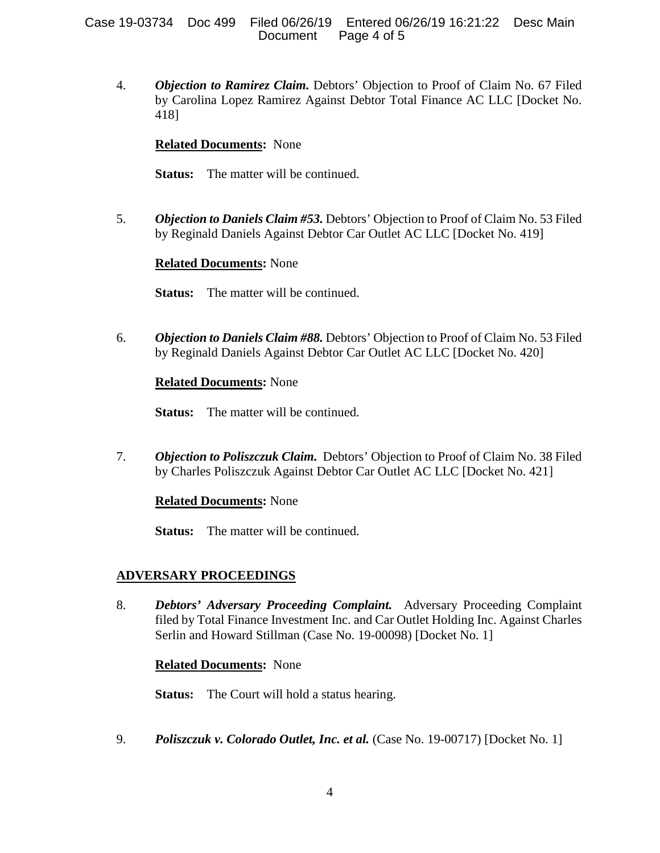#### Case 19-03734 Doc 499 Filed 06/26/19 Entered 06/26/19 16:21:22 Desc Main Page 4 of 5

4. *Objection to Ramirez Claim.* Debtors' Objection to Proof of Claim No. 67 Filed by Carolina Lopez Ramirez Against Debtor Total Finance AC LLC [Docket No. 418]

### **Related Documents:** None

**Status:** The matter will be continued.

5. *Objection to Daniels Claim #53.* Debtors' Objection to Proof of Claim No. 53 Filed by Reginald Daniels Against Debtor Car Outlet AC LLC [Docket No. 419]

### **Related Documents:** None

**Status:** The matter will be continued.

6. *Objection to Daniels Claim #88.* Debtors' Objection to Proof of Claim No. 53 Filed by Reginald Daniels Against Debtor Car Outlet AC LLC [Docket No. 420]

### **Related Documents:** None

**Status:** The matter will be continued.

7. *Objection to Poliszczuk Claim.* Debtors' Objection to Proof of Claim No. 38 Filed by Charles Poliszczuk Against Debtor Car Outlet AC LLC [Docket No. 421]

#### **Related Documents:** None

**Status:** The matter will be continued.

## **ADVERSARY PROCEEDINGS**

8. *Debtors' Adversary Proceeding Complaint.* Adversary Proceeding Complaint filed by Total Finance Investment Inc. and Car Outlet Holding Inc. Against Charles Serlin and Howard Stillman (Case No. 19-00098) [Docket No. 1]

#### **Related Documents:** None

**Status:** The Court will hold a status hearing.

9. *Poliszczuk v. Colorado Outlet, Inc. et al.* (Case No. 19-00717) [Docket No. 1]